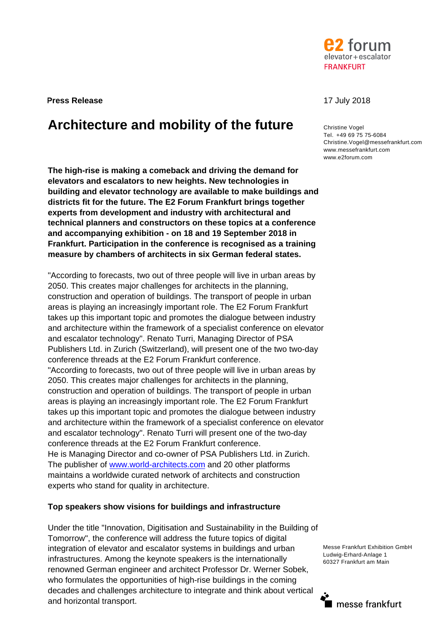

**Press Release** 17 July 2018

# **Architecture and mobility of the future** Christine Vogel

**The high-rise is making a comeback and driving the demand for elevators and escalators to new heights. New technologies in building and elevator technology are available to make buildings and districts fit for the future. The E2 Forum Frankfurt brings together experts from development and industry with architectural and technical planners and constructors on these topics at a conference and accompanying exhibition - on 18 and 19 September 2018 in Frankfurt. Participation in the conference is recognised as a training measure by chambers of architects in six German federal states.** 

"According to forecasts, two out of three people will live in urban areas by 2050. This creates major challenges for architects in the planning, construction and operation of buildings. The transport of people in urban areas is playing an increasingly important role. The E2 Forum Frankfurt takes up this important topic and promotes the dialogue between industry and architecture within the framework of a specialist conference on elevator and escalator technology". Renato Turri, Managing Director of PSA Publishers Ltd. in Zurich (Switzerland), will present one of the two two-day conference threads at the E2 Forum Frankfurt conference. "According to forecasts, two out of three people will live in urban areas by 2050. This creates major challenges for architects in the planning, construction and operation of buildings. The transport of people in urban areas is playing an increasingly important role. The E2 Forum Frankfurt takes up this important topic and promotes the dialogue between industry and architecture within the framework of a specialist conference on elevator and escalator technology". Renato Turri will present one of the two-day conference threads at the E2 Forum Frankfurt conference. He is Managing Director and co-owner of PSA Publishers Ltd. in Zurich. The publisher of www.world-architects.com and 20 other platforms maintains a worldwide curated network of architects and construction experts who stand for quality in architecture.

# **Top speakers show visions for buildings and infrastructure**

Under the title "Innovation, Digitisation and Sustainability in the Building of Tomorrow", the conference will address the future topics of digital integration of elevator and escalator systems in buildings and urban infrastructures. Among the keynote speakers is the internationally renowned German engineer and architect Professor Dr. Werner Sobek, who formulates the opportunities of high-rise buildings in the coming decades and challenges architecture to integrate and think about vertical and horizontal transport.

Tel. +49 69 75 75-6084 Christine.Vogel@messefrankfurt.com www.messefrankfurt.com www.e2forum.com

Messe Frankfurt Exhibition GmbH Ludwig-Erhard-Anlage 1 60327 Frankfurt am Main

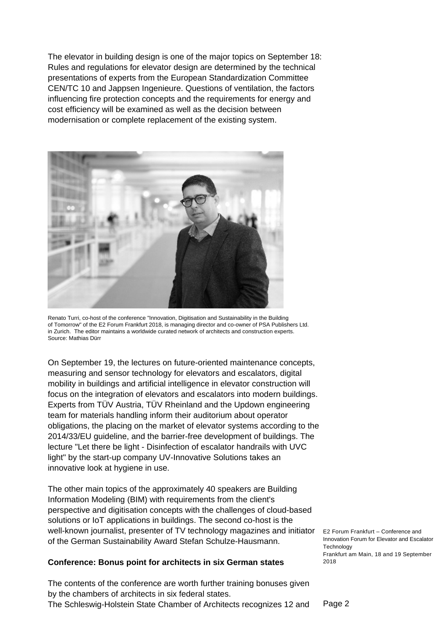The elevator in building design is one of the major topics on September 18: Rules and regulations for elevator design are determined by the technical presentations of experts from the European Standardization Committee CEN/TC 10 and Jappsen Ingenieure. Questions of ventilation, the factors influencing fire protection concepts and the requirements for energy and cost efficiency will be examined as well as the decision between modernisation or complete replacement of the existing system.



Renato Turri, co-host of the conference "Innovation, Digitisation and Sustainability in the Building of Tomorrow" of the E2 Forum Frankfurt 2018, is managing director and co-owner of PSA Publishers Ltd. in Zurich. The editor maintains a worldwide curated network of architects and construction experts. Source: Mathias Dürr

On September 19, the lectures on future-oriented maintenance concepts, measuring and sensor technology for elevators and escalators, digital mobility in buildings and artificial intelligence in elevator construction will focus on the integration of elevators and escalators into modern buildings. Experts from TÜV Austria, TÜV Rheinland and the Updown engineering team for materials handling inform their auditorium about operator obligations, the placing on the market of elevator systems according to the 2014/33/EU guideline, and the barrier-free development of buildings. The lecture "Let there be light - Disinfection of escalator handrails with UVC light" by the start-up company UV-Innovative Solutions takes an innovative look at hygiene in use.

Well-known journalist, presenter of TV technology magazines and initiator E2 Forum Frankfurt - Conference and The other main topics of the approximately 40 speakers are Building Information Modeling (BIM) with requirements from the client's perspective and digitisation concepts with the challenges of cloud-based solutions or IoT applications in buildings. The second co-host is the of the German Sustainability Award Stefan Schulze-Hausmann.

### **Conference: Bonus point for architects in six German states**

The contents of the conference are worth further training bonuses given by the chambers of architects in six federal states. The Schleswig-Holstein State Chamber of Architects recognizes 12 and

Innovation Forum for Elevator and Escalator **Technology** Frankfurt am Main, 18 and 19 September 2018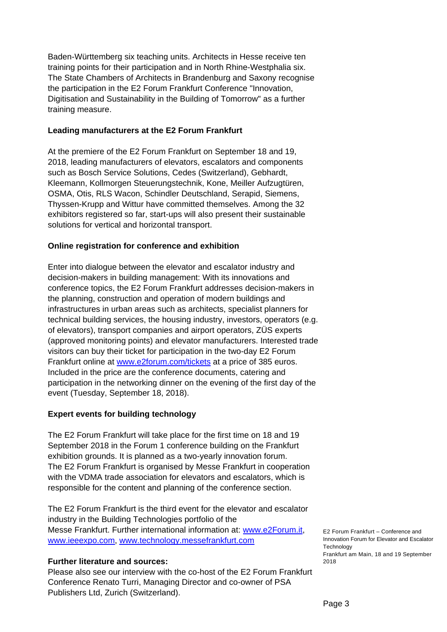Baden-Württemberg six teaching units. Architects in Hesse receive ten training points for their participation and in North Rhine-Westphalia six. The State Chambers of Architects in Brandenburg and Saxony recognise the participation in the E2 Forum Frankfurt Conference "Innovation, Digitisation and Sustainability in the Building of Tomorrow" as a further training measure.

# **Leading manufacturers at the E2 Forum Frankfurt**

At the premiere of the E2 Forum Frankfurt on September 18 and 19, 2018, leading manufacturers of elevators, escalators and components such as Bosch Service Solutions, Cedes (Switzerland), Gebhardt, Kleemann, Kollmorgen Steuerungstechnik, Kone, Meiller Aufzugtüren, OSMA, Otis, RLS Wacon, Schindler Deutschland, Serapid, Siemens, Thyssen-Krupp and Wittur have committed themselves. Among the 32 exhibitors registered so far, start-ups will also present their sustainable solutions for vertical and horizontal transport.

# **Online registration for conference and exhibition**

Enter into dialogue between the elevator and escalator industry and decision-makers in building management: With its innovations and conference topics, the E2 Forum Frankfurt addresses decision-makers in the planning, construction and operation of modern buildings and infrastructures in urban areas such as architects, specialist planners for technical building services, the housing industry, investors, operators (e.g. of elevators), transport companies and airport operators, ZÜS experts (approved monitoring points) and elevator manufacturers. Interested trade visitors can buy their ticket for participation in the two-day E2 Forum Frankfurt online at www.e2forum.com/tickets at a price of 385 euros. Included in the price are the conference documents, catering and participation in the networking dinner on the evening of the first day of the event (Tuesday, September 18, 2018).

# **Expert events for building technology**

The E2 Forum Frankfurt will take place for the first time on 18 and 19 September 2018 in the Forum 1 conference building on the Frankfurt exhibition grounds. It is planned as a two-yearly innovation forum. The E2 Forum Frankfurt is organised by Messe Frankfurt in cooperation with the VDMA trade association for elevators and escalators, which is responsible for the content and planning of the conference section.

The E2 Forum Frankfurt is the third event for the elevator and escalator industry in the Building Technologies portfolio of the Messe Frankfurt. Further international information at: www.e2Forum.it, www.ieeexpo.com, www.technology.messefrankfurt.com

### **Further literature and sources:**

Please also see our interview with the co-host of the E2 Forum Frankfurt Conference Renato Turri, Managing Director and co-owner of PSA Publishers Ltd, Zurich (Switzerland).

E2 Forum Frankfurt – Conference and Innovation Forum for Elevator and Escalator **Technology** Frankfurt am Main, 18 and 19 September 2018